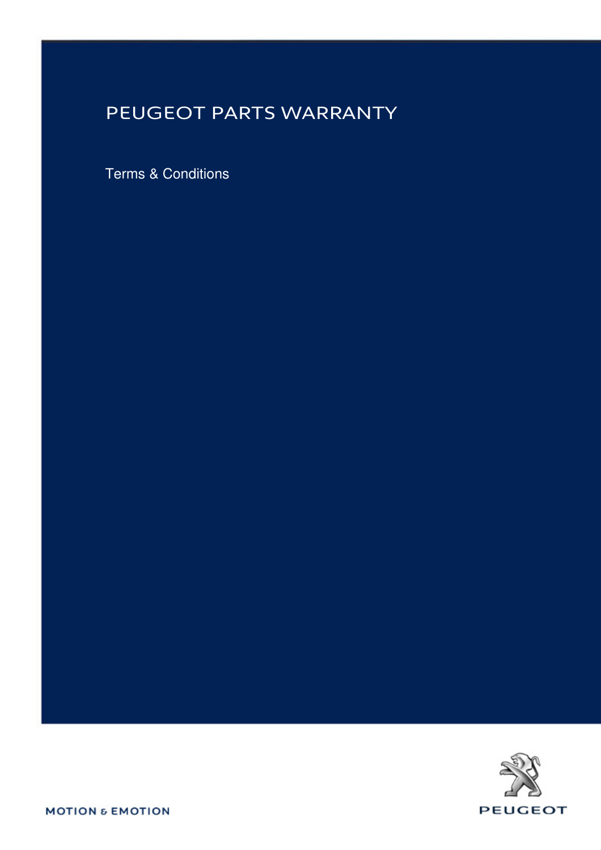## PEUGEOT PARTS WARRANTY

Terms & Conditions



**MOTION & EMOTION**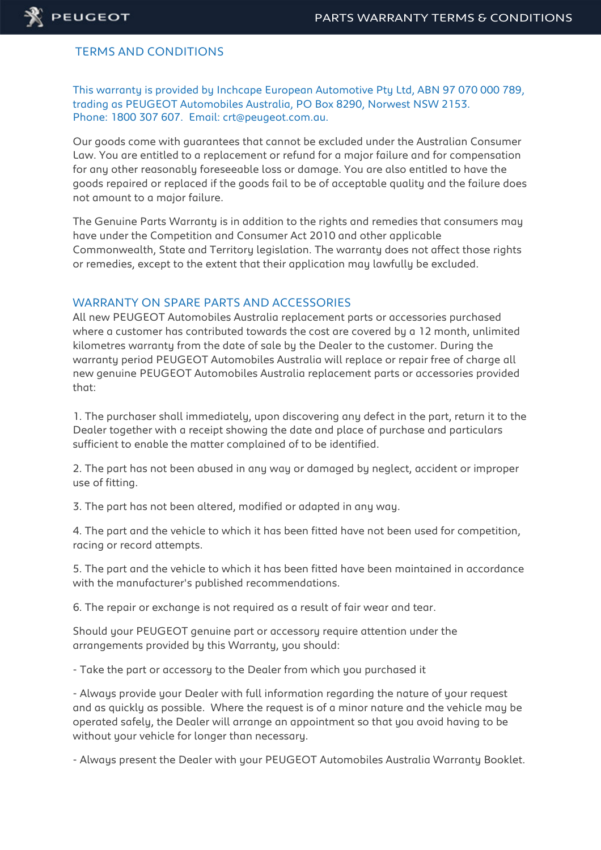

## TERMS AND CONDITIONS

This warranty is provided by Inchcape European Automotive Pty Ltd, ABN 97 070 000 789, trading as PEUGEOT Automobiles Australia, PO Box 8290, Norwest NSW 2153. Phone: 1800 307 607. Email: crt@peugeot.com.au.

Our goods come with guarantees that cannot be excluded under the Australian Consumer Law. You are entitled to a replacement or refund for a major failure and for compensation for any other reasonably foreseeable loss or damage. You are also entitled to have the goods repaired or replaced if the goods fail to be of acceptable quality and the failure does not amount to a major failure.

The Genuine Parts Warranty is in addition to the rights and remedies that consumers may have under the Competition and Consumer Act 2010 and other applicable Commonwealth, State and Territory legislation. The warranty does not affect those rights or remedies, except to the extent that their application may lawfully be excluded.

## WARRANTY ON SPARE PARTS AND ACCESSORIES

All new PEUGEOT Automobiles Australia replacement parts or accessories purchased where a customer has contributed towards the cost are covered by a 12 month, unlimited kilometres warranty from the date of sale by the Dealer to the customer. During the warranty period PEUGEOT Automobiles Australia will replace or repair free of charge all new genuine PEUGEOT Automobiles Australia replacement parts or accessories provided that:

1. The purchaser shall immediately, upon discovering any defect in the part, return it to the Dealer together with a receipt showing the date and place of purchase and particulars sufficient to enable the matter complained of to be identified.

2. The part has not been abused in any way or damaged by neglect, accident or improper use of fitting.

3. The part has not been altered, modified or adapted in any way.

4. The part and the vehicle to which it has been fitted have not been used for competition, racing or record attempts.

5. The part and the vehicle to which it has been fitted have been maintained in accordance with the manufacturer's published recommendations.

6. The repair or exchange is not required as a result of fair wear and tear.

Should your PEUGEOT genuine part or accessory require attention under the arrangements provided by this Warranty, you should:

- Take the part or accessory to the Dealer from which you purchased it

- Always provide your Dealer with full information regarding the nature of your request and as quickly as possible. Where the request is of a minor nature and the vehicle may be operated safely, the Dealer will arrange an appointment so that you avoid having to be without your vehicle for longer than necessary.

- Always present the Dealer with your PEUGEOT Automobiles Australia Warranty Booklet.